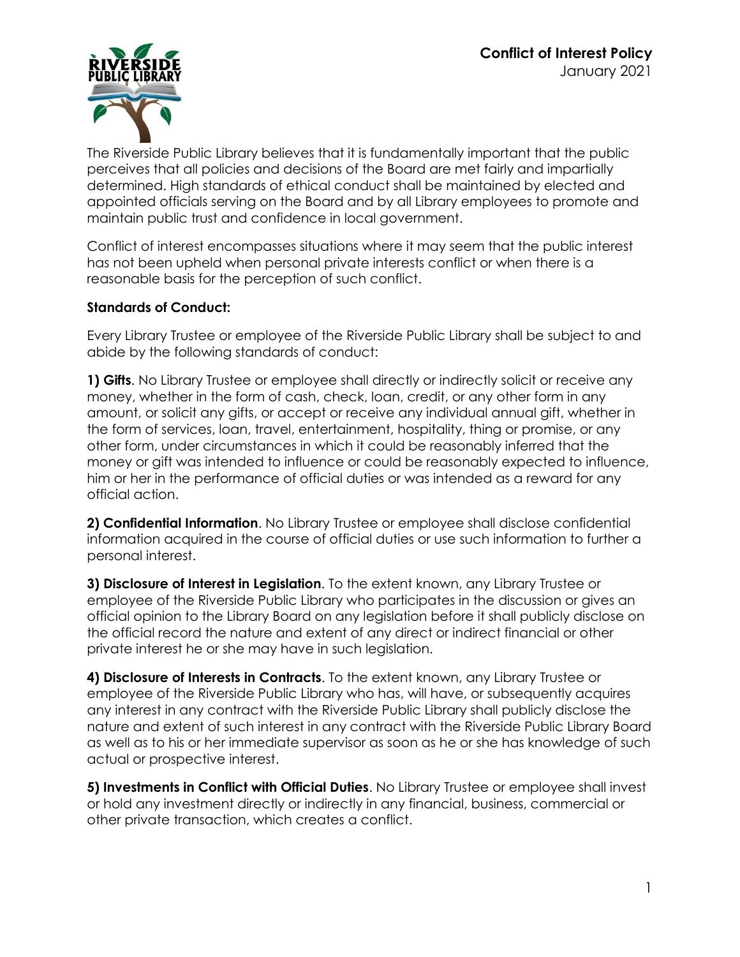

The Riverside Public Library believes that it is fundamentally important that the public perceives that all policies and decisions of the Board are met fairly and impartially determined. High standards of ethical conduct shall be maintained by elected and appointed officials serving on the Board and by all Library employees to promote and maintain public trust and confidence in local government.

Conflict of interest encompasses situations where it may seem that the public interest has not been upheld when personal private interests conflict or when there is a reasonable basis for the perception of such conflict.

## **Standards of Conduct:**

Every Library Trustee or employee of the Riverside Public Library shall be subject to and abide by the following standards of conduct:

**1) Gifts**. No Library Trustee or employee shall directly or indirectly solicit or receive any money, whether in the form of cash, check, loan, credit, or any other form in any amount, or solicit any gifts, or accept or receive any individual annual gift, whether in the form of services, loan, travel, entertainment, hospitality, thing or promise, or any other form, under circumstances in which it could be reasonably inferred that the money or gift was intended to influence or could be reasonably expected to influence, him or her in the performance of official duties or was intended as a reward for any official action.

**2) Confidential Information**. No Library Trustee or employee shall disclose confidential information acquired in the course of official duties or use such information to further a personal interest.

**3) Disclosure of Interest in Legislation**. To the extent known, any Library Trustee or employee of the Riverside Public Library who participates in the discussion or gives an official opinion to the Library Board on any legislation before it shall publicly disclose on the official record the nature and extent of any direct or indirect financial or other private interest he or she may have in such legislation.

**4) Disclosure of Interests in Contracts**. To the extent known, any Library Trustee or employee of the Riverside Public Library who has, will have, or subsequently acquires any interest in any contract with the Riverside Public Library shall publicly disclose the nature and extent of such interest in any contract with the Riverside Public Library Board as well as to his or her immediate supervisor as soon as he or she has knowledge of such actual or prospective interest.

**5) Investments in Conflict with Official Duties**. No Library Trustee or employee shall invest or hold any investment directly or indirectly in any financial, business, commercial or other private transaction, which creates a conflict.